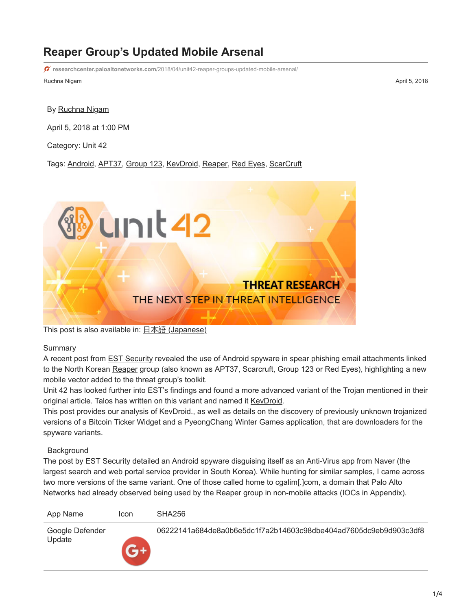# **Reaper Group's Updated Mobile Arsenal**

**researchcenter.paloaltonetworks.com**[/2018/04/unit42-reaper-groups-updated-mobile-arsenal/](https://researchcenter.paloaltonetworks.com/2018/04/unit42-reaper-groups-updated-mobile-arsenal/)

Ruchna Nigam April 5, 2018

#### By [Ruchna Nigam](https://unit42.paloaltonetworks.com/author/ruchna-nigam/)

April 5, 2018 at 1:00 PM

Category: [Unit 42](https://unit42.paloaltonetworks.com/category/unit42/)

Tags: [Android,](https://unit42.paloaltonetworks.com/tag/android/) [APT37,](https://unit42.paloaltonetworks.com/tag/apt37/) [Group 123,](https://unit42.paloaltonetworks.com/tag/group-123/) [KevDroid](https://unit42.paloaltonetworks.com/tag/kevdroid/), [Reaper](https://unit42.paloaltonetworks.com/tag/reaper/), [Red Eyes](https://unit42.paloaltonetworks.com/tag/red-eyes/), [ScarCruft](https://unit42.paloaltonetworks.com/tag/scarcruft/)



This post is also available in:  $\underline{I}$   $\underline{\text{A}}$   $\underline{\text{A}}$  [\(Japanese\)](https://unit42.paloaltonetworks.jp/unit42-reaper-groups-updated-mobile-arsenal/)

### Summary

A recent post from **EST Security** revealed the use of Android spyware in spear phishing email attachments linked to the North Korean [Reaper](https://www.fireeye.com/blog/threat-research/2018/02/apt37-overlooked-north-korean-actor.html) group (also known as APT37, Scarcruft, Group 123 or Red Eyes), highlighting a new mobile vector added to the threat group's toolkit.

Unit 42 has looked further into EST's findings and found a more advanced variant of the Trojan mentioned in their original article. Talos has written on this variant and named it [KevDroid](http://blog.talosintelligence.com/2018/04/fake-av-investigation-unearths-kevdroid.html).

This post provides our analysis of KevDroid., as well as details on the discovery of previously unknown trojanized versions of a Bitcoin Ticker Widget and a PyeongChang Winter Games application, that are downloaders for the spyware variants.

### **Background**

The post by EST Security detailed an Android spyware disguising itself as an Anti-Virus app from Naver (the largest search and web portal service provider in South Korea). While hunting for similar samples, I came across two more versions of the same variant. One of those called home to cgalim[.]com, a domain that Palo Alto Networks had already observed being used by the Reaper group in non-mobile attacks (IOCs in Appendix).

| App Name                  | Icon | SHA256                                                           |
|---------------------------|------|------------------------------------------------------------------|
| Google Defender<br>Update |      | 06222141a684de8a0b6e5dc1f7a2b14603c98dbe404ad7605dc9eb9d903c3df8 |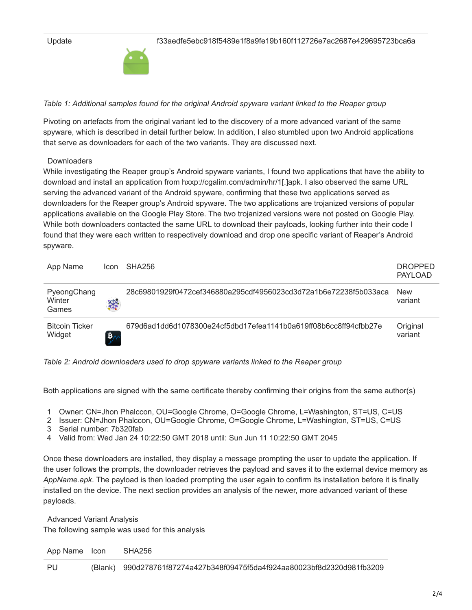

*Table 1: Additional samples found for the original Android spyware variant linked to the Reaper group*

Pivoting on artefacts from the original variant led to the discovery of a more advanced variant of the same spyware, which is described in detail further below. In addition, I also stumbled upon two Android applications that serve as downloaders for each of the two variants. They are discussed next.

### **Downloaders**

While investigating the Reaper group's Android spyware variants, I found two applications that have the ability to download and install an application from hxxp://cgalim.com/admin/hr/1[.]apk. I also observed the same URL serving the advanced variant of the Android spyware, confirming that these two applications served as downloaders for the Reaper group's Android spyware. The two applications are trojanized versions of popular applications available on the Google Play Store. The two trojanized versions were not posted on Google Play. While both downloaders contacted the same URL to download their payloads, looking further into their code I found that they were each written to respectively download and drop one specific variant of Reaper's Android spyware.

| App Name                        | Icon                       | SHA256                                                           | <b>DROPPED</b><br>PAYLOAD |
|---------------------------------|----------------------------|------------------------------------------------------------------|---------------------------|
| PyeongChang<br>Winter<br>Games  | **                         | 28c69801929f0472cef346880a295cdf4956023cd3d72a1b6e72238f5b033aca | <b>New</b><br>variant     |
| <b>Bitcoin Ticker</b><br>Widget | $\mathbf{B}_{\mathcal{M}}$ | 679d6ad1dd6d1078300e24cf5dbd17efea1141b0a619ff08b6cc8ff94cfbb27e | Original<br>variant       |

*Table 2: Android downloaders used to drop spyware variants linked to the Reaper group*

Both applications are signed with the same certificate thereby confirming their origins from the same author(s)

1 Owner: CN=Jhon Phalccon, OU=Google Chrome, O=Google Chrome, L=Washington, ST=US, C=US

2 Issuer: CN=Jhon Phalccon, OU=Google Chrome, O=Google Chrome, L=Washington, ST=US, C=US

- 3 Serial number: 7b320fab
- 4 Valid from: Wed Jan 24 10:22:50 GMT 2018 until: Sun Jun 11 10:22:50 GMT 2045

Once these downloaders are installed, they display a message prompting the user to update the application. If the user follows the prompts, the downloader retrieves the payload and saves it to the external device memory as *AppName.apk*. The payload is then loaded prompting the user again to confirm its installation before it is finally installed on the device. The next section provides an analysis of the newer, more advanced variant of these payloads.

 Advanced Variant Analysis The following sample was used for this analysis

App Name Icon SHA256

PU (Blank) 990d278761f87274a427b348f09475f5da4f924aa80023bf8d2320d981fb3209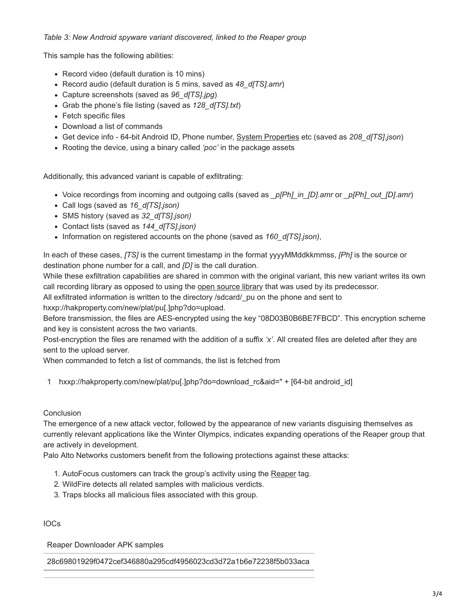## *Table 3: New Android spyware variant discovered, linked to the Reaper group*

This sample has the following abilities:

- Record video (default duration is 10 mins)
- Record audio (default duration is 5 mins, saved as *48\_d[TS].amr*)
- Capture screenshots (saved as *96\_d[TS].jpg*)
- Grab the phone's file listing (saved as *128\_d[TS].txt*)
- Fetch specific files
- Download a list of commands
- Get device info 64-bit Android ID, Phone number, [System Properties](https://developer.android.com/reference/java/lang/System.html#getProperties()) etc (saved as *208\_d[TS].json*)
- Rooting the device, using a binary called *'poc'* in the package assets

Additionally, this advanced variant is capable of exfiltrating:

- Voice recordings from incoming and outgoing calls (saved as *\_p[Ph]\_in\_[D].amr* or *\_p[Ph]\_out\_[D].amr*)
- Call logs (saved as *16\_d[TS].json)*
- SMS history (saved as *32\_d[TS].json)*
- Contact lists (saved as *144\_d[TS].json)*
- Information on registered accounts on the phone (saved as *160\_d[TS].json)*,

In each of these cases, *[TS]* is the current timestamp in the format yyyyMMddkkmmss, *[Ph]* is the source or destination phone number for a call, and *[D]* is the call duration.

While these exfiltration capabilities are shared in common with the original variant, this new variant writes its own call recording library as opposed to using the [open source library](https://github.com/aykuttasil/CallRecorder) that was used by its predecessor.

All exfiltrated information is written to the directory /sdcard/ pu on the phone and sent to

hxxp://hakproperty.com/new/plat/pu[.]php?do=upload.

Before transmission, the files are AES-encrypted using the key "08D03B0B6BE7FBCD". This encryption scheme and key is consistent across the two variants.

Post-encryption the files are renamed with the addition of a suffix *'x'*. All created files are deleted after they are sent to the upload server.

When commanded to fetch a list of commands, the list is fetched from

1 hxxp://hakproperty.com/new/plat/pu[.]php?do=download\_rc&aid=" + [64-bit android\_id]

### Conclusion

The emergence of a new attack vector, followed by the appearance of new variants disguising themselves as currently relevant applications like the Winter Olympics, indicates expanding operations of the Reaper group that are actively in development.

Palo Alto Networks customers benefit from the following protections against these attacks:

- 1. AutoFocus customers can track the group's activity using the [Reaper](https://autofocus.paloaltonetworks.com/#/tag/Unit42.Reaper) tag.
- 2. WildFire detects all related samples with malicious verdicts.
- 3. Traps blocks all malicious files associated with this group.

IOCs

Reaper Downloader APK samples

28c69801929f0472cef346880a295cdf4956023cd3d72a1b6e72238f5b033aca